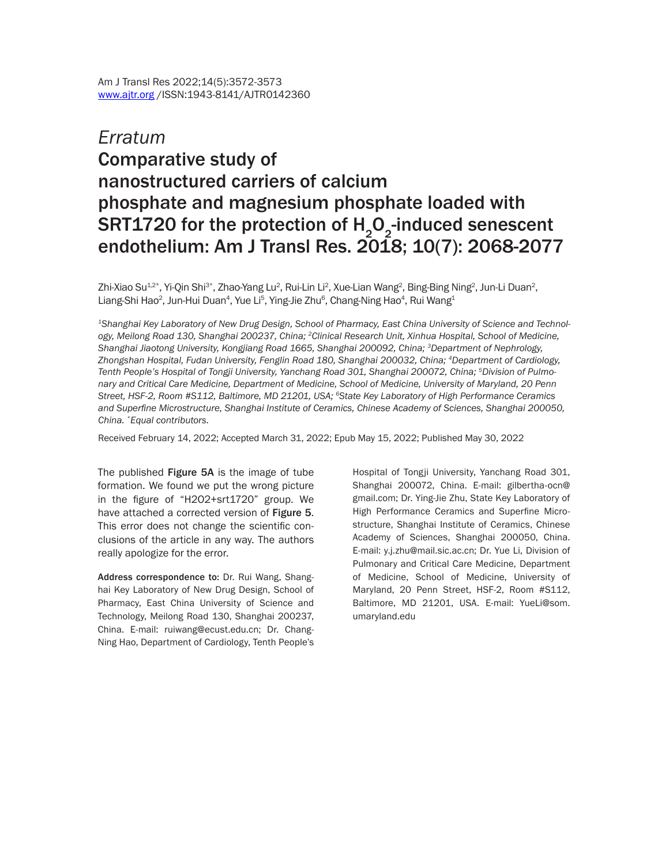## *Erratum* Comparative study of nanostructured carriers of calcium phosphate and magnesium phosphate loaded with SRT1720 for the protection of  $H_2O_2$ -induced senescent endothelium: Am J Transl Res. 2018; 10(7): 2068-2077

Zhi-Xiao Su $^{12*}$ , Yi-Qin Shi $^{3*}$ , Zhao-Yang Lu $^2$ , Rui-Lin Li $^2$ , Xue-Lian Wang $^2$ , Bing-Bing Ning $^2$ , Jun-Li Duan $^2$ , Liang-Shi Hao<sup>2</sup>, Jun-Hui Duan<sup>4</sup>, Yue Li<sup>5</sup>, Ying-Jie Zhu<sup>6</sup>, Chang-Ning Hao<sup>4</sup>, Rui Wang<sup>1</sup>

*1Shanghai Key Laboratory of New Drug Design, School of Pharmacy, East China University of Science and Technology, Meilong Road 130, Shanghai 200237, China; 2Clinical Research Unit, Xinhua Hospital, School of Medicine, Shanghai Jiaotong University, Kongjiang Road 1665, Shanghai 200092, China; 3Department of Nephrology, Zhongshan Hospital, Fudan University, Fenglin Road 180, Shanghai 200032, China; 4Department of Cardiology, Tenth People's Hospital of Tongji University, Yanchang Road 301, Shanghai 200072, China; 5Division of Pulmonary and Critical Care Medicine, Department of Medicine, School of Medicine, University of Maryland, 20 Penn Street, HSF-2, Room #S112, Baltimore, MD 21201, USA; 6State Key Laboratory of High Performance Ceramics and Superfine Microstructure, Shanghai Institute of Ceramics, Chinese Academy of Sciences, Shanghai 200050, China. \*Equal contributors.*

Received February 14, 2022; Accepted March 31, 2022; Epub May 15, 2022; Published May 30, 2022

The published Figure 5A is the image of tube formation. We found we put the wrong picture in the figure of "H2O2+srt1720" group. We have attached a corrected version of Figure 5. This error does not change the scientific conclusions of the article in any way. The authors really apologize for the error.

Address correspondence to: Dr. Rui Wang, Shanghai Key Laboratory of New Drug Design, School of Pharmacy, East China University of Science and Technology, Meilong Road 130, Shanghai 200237, China. E-mail: [ruiwang@ecust.edu.cn;](mailto:ruiwang@ecust.edu.cn) Dr. Chang-Ning Hao, Department of Cardiology, Tenth People's Hospital of Tongji University, Yanchang Road 301, Shanghai 200072, China. E-mail: [gilbertha-ocn@](mailto:gilbertha-ocn@gmail.com) [gmail.com](mailto:gilbertha-ocn@gmail.com); Dr. Ying-Jie Zhu, State Key Laboratory of High Performance Ceramics and Superfine Microstructure, Shanghai Institute of Ceramics, Chinese Academy of Sciences, Shanghai 200050, China. E-mail: [y.j.zhu@mail.sic.ac.cn](mailto:y.j.zhu@mail.sic.ac.cn); Dr. Yue Li, Division of Pulmonary and Critical Care Medicine, Department of Medicine, School of Medicine, University of Maryland, 20 Penn Street, HSF-2, Room #S112, Baltimore, MD 21201, USA. E-mail: [YueLi@som.](mailto:YueLi@som.umaryland.edu) [umaryland.edu](mailto:YueLi@som.umaryland.edu)